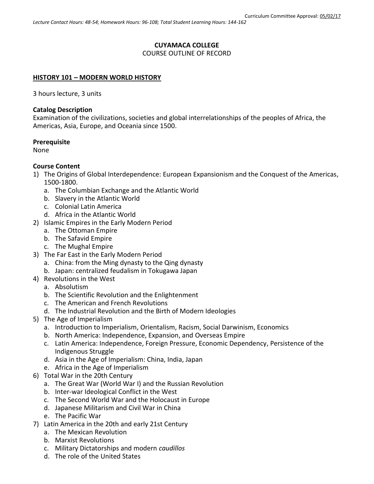# **CUYAMACA COLLEGE**

## COURSE OUTLINE OF RECORD

## **HISTORY 101 – MODERN WORLD HISTORY**

3 hours lecture, 3 units

### **Catalog Description**

Examination of the civilizations, societies and global interrelationships of the peoples of Africa, the Americas, Asia, Europe, and Oceania since 1500.

# **Prerequisite**

None

# **Course Content**

- 1) The Origins of Global Interdependence: European Expansionism and the Conquest of the Americas, 1500-1800.
	- a. The Columbian Exchange and the Atlantic World
	- b. Slavery in the Atlantic World
	- c. Colonial Latin America
	- d. Africa in the Atlantic World
- 2) Islamic Empires in the Early Modern Period
	- a. The Ottoman Empire
	- b. The Safavid Empire
	- c. The Mughal Empire
- 3) The Far East in the Early Modern Period
	- a. China: from the Ming dynasty to the Qing dynasty
	- b. Japan: centralized feudalism in Tokugawa Japan
- 4) Revolutions in the West
	- a. Absolutism
	- b. The Scientific Revolution and the Enlightenment
	- c. The American and French Revolutions
	- d. The Industrial Revolution and the Birth of Modern Ideologies
- 5) The Age of Imperialism
	- a. Introduction to Imperialism, Orientalism, Racism, Social Darwinism, Economics
	- b. North America: Independence, Expansion, and Overseas Empire
	- c. Latin America: Independence, Foreign Pressure, Economic Dependency, Persistence of the Indigenous Struggle
	- d. Asia in the Age of Imperialism: China, India, Japan
	- e. Africa in the Age of Imperialism
- 6) Total War in the 20th Century
	- a. The Great War (World War I) and the Russian Revolution
	- b. Inter-war Ideological Conflict in the West
	- c. The Second World War and the Holocaust in Europe
	- d. Japanese Militarism and Civil War in China
	- e. The Pacific War
- 7) Latin America in the 20th and early 21st Century
	- a. The Mexican Revolution
	- b. Marxist Revolutions
	- c. Military Dictatorships and modern *caudillos*
	- d. The role of the United States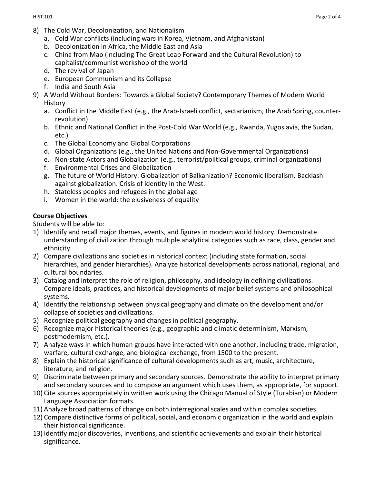- 8) The Cold War, Decolonization, and Nationalism
	- a. Cold War conflicts (including wars in Korea, Vietnam, and Afghanistan)
	- b. Decolonization in Africa, the Middle East and Asia
	- c. China from Mao (including The Great Leap Forward and the Cultural Revolution) to capitalist/communist workshop of the world
	- d. The revival of Japan
	- e. European Communism and its Collapse
	- f. India and South Asia
- 9) A World Without Borders: Towards a Global Society? Contemporary Themes of Modern World History
	- a. Conflict in the Middle East (e.g., the Arab-Israeli conflict, sectarianism, the Arab Spring, counterrevolution)
	- b. Ethnic and National Conflict in the Post-Cold War World (e.g., Rwanda, Yugoslavia, the Sudan, etc.)
	- c. The Global Economy and Global Corporations
	- d. Global Organizations (e.g., the United Nations and Non-Governmental Organizations)
	- e. Non-state Actors and Globalization (e.g., terrorist/political groups, criminal organizations)
	- f. Environmental Crises and Globalization
	- g. The future of World History: Globalization of Balkanization? Economic liberalism. Backlash against globalization. Crisis of identity in the West.
	- h. Stateless peoples and refugees in the global age
	- i. Women in the world: the elusiveness of equality

### **Course Objectives**

Students will be able to:

- 1) Identify and recall major themes, events, and figures in modern world history. Demonstrate understanding of civilization through multiple analytical categories such as race, class, gender and ethnicity.
- 2) Compare civilizations and societies in historical context (including state formation, social hierarchies, and gender hierarchies). Analyze historical developments across national, regional, and cultural boundaries.
- 3) Catalog and interpret the role of religion, philosophy, and ideology in defining civilizations. Compare ideals, practices, and historical developments of major belief systems and philosophical systems.
- 4) Identify the relationship between physical geography and climate on the development and/or collapse of societies and civilizations.
- 5) Recognize political geography and changes in political geography.
- 6) Recognize major historical theories (e.g., geographic and climatic determinism, Marxism, postmodernism, etc.).
- 7) Analyze ways in which human groups have interacted with one another, including trade, migration, warfare, cultural exchange, and biological exchange, from 1500 to the present.
- 8) Explain the historical significance of cultural developments such as art, music, architecture, literature, and religion.
- 9) Discriminate between primary and secondary sources. Demonstrate the ability to interpret primary and secondary sources and to compose an argument which uses them, as appropriate, for support.
- 10) Cite sources appropriately in written work using the Chicago Manual of Style (Turabian) or Modern Language Association formats.
- 11) Analyze broad patterns of change on both interregional scales and within complex societies.
- 12) Compare distinctive forms of political, social, and economic organization in the world and explain their historical significance.
- 13) Identify major discoveries, inventions, and scientific achievements and explain their historical significance.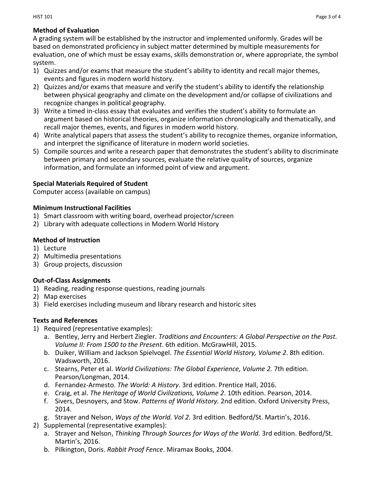## **Method of Evaluation**

A grading system will be established by the instructor and implemented uniformly. Grades will be based on demonstrated proficiency in subject matter determined by multiple measurements for evaluation, one of which must be essay exams, skills demonstration or, where appropriate, the symbol system.

- 1) Quizzes and/or exams that measure the student's ability to identity and recall major themes, events and figures in modern world history.
- 2) Quizzes and/or exams that measure and verify the student's ability to identify the relationship between physical geography and climate on the development and/or collapse of civilizations and recognize changes in political geography.
- 3) Write a timed in-class essay that evaluates and verifies the student's ability to formulate an argument based on historical theories, organize information chronologically and thematically, and recall major themes, events, and figures in modern world history.
- 4) Write analytical papers that assess the student's ability to recognize themes, organize information, and interpret the significance of literature in modern world societies.
- 5) Compile sources and write a research paper that demonstrates the student's ability to discriminate between primary and secondary sources, evaluate the relative quality of sources, organize information, and formulate an informed point of view and argument.

### **Special Materials Required of Student**

Computer access (available on campus)

### **Minimum Instructional Facilities**

- 1) Smart classroom with writing board, overhead projector/screen
- 2) Library with adequate collections in Modern World History

## **Method of Instruction**

- 1) Lecture
- 2) Multimedia presentations
- 3) Group projects, discussion

# **Out-of-Class Assignments**

- 1) Reading, reading response questions, reading journals
- 2) Map exercises
- 3) Field exercises including museum and library research and historic sites

# **Texts and References**

- 1) Required (representative examples):
	- a. Bentley, Jerry and Herbert Ziegler. *Traditions and Encounters: A Global Perspective on the Past. Volume II: From 1500 to the Present*. 6th edition. McGrawHill, 2015.
	- b. Duiker, William and Jackson Spielvogel. *The Essential World History, Volume 2*. 8th edition. Wadsworth, 2016.
	- c. Stearns, Peter et al. *World Civilizations: The Global Experience, Volume 2.* 7th edition. Pearson/Longman, 2014.
	- d. Fernandez-Armesto. *The World: A History*. 3rd edition. Prentice Hall, 2016.
	- e. Craig, et al. *The Heritage of World Civilizations, Volume 2*. 10th edition. Pearson, 2014.
	- f. Sivers, Desnoyers, and Stow. *Patterns of World History.* 2nd edition. Oxford University Press, 2014.
	- g. Strayer and Nelson, *Ways of the World. Vol 2.* 3rd edition. Bedford/St. Martin's, 2016.
- 2) Supplemental (representative examples):
	- a. Strayer and Nelson, *Thinking Through Sources for Ways of the World.* 3rd edition. Bedford/St. Martin's, 2016.
	- b. Pilkington, Doris. *Rabbit Proof Fence*. Miramax Books, 2004.